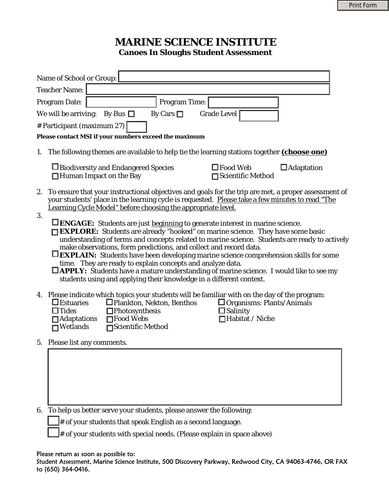## **MARINE SCIENCE INSTITUTE Canoes In Sloughs Student Assessment**

| Name of School or Group:                                                                                                                                                                                                                                                                                                                                                                                                                                                                                                                                                                                                                                                                     |  |
|----------------------------------------------------------------------------------------------------------------------------------------------------------------------------------------------------------------------------------------------------------------------------------------------------------------------------------------------------------------------------------------------------------------------------------------------------------------------------------------------------------------------------------------------------------------------------------------------------------------------------------------------------------------------------------------------|--|
| <b>Teacher Name:</b>                                                                                                                                                                                                                                                                                                                                                                                                                                                                                                                                                                                                                                                                         |  |
| <b>Program Time:</b><br>Program Date:                                                                                                                                                                                                                                                                                                                                                                                                                                                                                                                                                                                                                                                        |  |
| By Bus $\Box$<br><b>Grade Level</b><br>We will be arriving:<br>By Cars $\Box$                                                                                                                                                                                                                                                                                                                                                                                                                                                                                                                                                                                                                |  |
| # Participant (maximum 27)                                                                                                                                                                                                                                                                                                                                                                                                                                                                                                                                                                                                                                                                   |  |
| Please contact MSI if your numbers exceed the maximum                                                                                                                                                                                                                                                                                                                                                                                                                                                                                                                                                                                                                                        |  |
| The following themes are available to help tie the learning stations together <i>(choose one)</i><br>1.                                                                                                                                                                                                                                                                                                                                                                                                                                                                                                                                                                                      |  |
| $\square$ Food Web<br>$\Box$ Adaptation<br>□Biodiversity and Endangered Species<br>□ Scientific Method<br>$\Box$ Human Impact on the Bay                                                                                                                                                                                                                                                                                                                                                                                                                                                                                                                                                     |  |
| To ensure that your instructional objectives and goals for the trip are met, a proper assessment of<br>2.<br>your students' place in the learning cycle is requested. Please take a few minutes to read "The<br>Learning Cycle Model" before choosing the appropriate level.                                                                                                                                                                                                                                                                                                                                                                                                                 |  |
| <b>LENGAGE:</b> Students are just beginning to generate interest in marine science.<br><b>EXPLORE:</b> Students are already "hooked" on marine science. They have some basic<br>understanding of terms and concepts related to marine science. Students are ready to actively<br>make observations, form predictions, and collect and record data.<br><b>EXPLAIN:</b> Students have been developing marine science comprehension skills for some<br>time. They are ready to explain concepts and analyze data.<br>$\Box$ <b>APPLY:</b> Students have a mature understanding of marine science. I would like to see my<br>students using and applying their knowledge in a different context. |  |
| 4. Please indicate which topics your students will be familiar with on the day of the program:<br>$\Box$ Estuaries<br>□ Plankton, Nekton, Benthos<br>□ Organisms: Plants/Animals<br>$\Box$ Tides<br>$\Box$ Photosynthesis<br>$\Box$ Salinity<br>□Food Webs<br>□Habitat / Niche<br>$\Box$ Adaptations<br>$\Box$ Wetlands<br><b>□Scientific Method</b>                                                                                                                                                                                                                                                                                                                                         |  |
| 5. Please list any comments.                                                                                                                                                                                                                                                                                                                                                                                                                                                                                                                                                                                                                                                                 |  |
|                                                                                                                                                                                                                                                                                                                                                                                                                                                                                                                                                                                                                                                                                              |  |
|                                                                                                                                                                                                                                                                                                                                                                                                                                                                                                                                                                                                                                                                                              |  |
|                                                                                                                                                                                                                                                                                                                                                                                                                                                                                                                                                                                                                                                                                              |  |
|                                                                                                                                                                                                                                                                                                                                                                                                                                                                                                                                                                                                                                                                                              |  |
|                                                                                                                                                                                                                                                                                                                                                                                                                                                                                                                                                                                                                                                                                              |  |

6. To help us better serve your students, please answer the following:

**The Students that speak English as a second language.** 

# of your students with special needs. (Please explain in space above)

#### Please return as soon as possible to:

Student Assessment, Marine Science Institute, 500 Discovery Parkway, Redwood City, CA 94063-4746, OR FAX to (650) 364-0416.